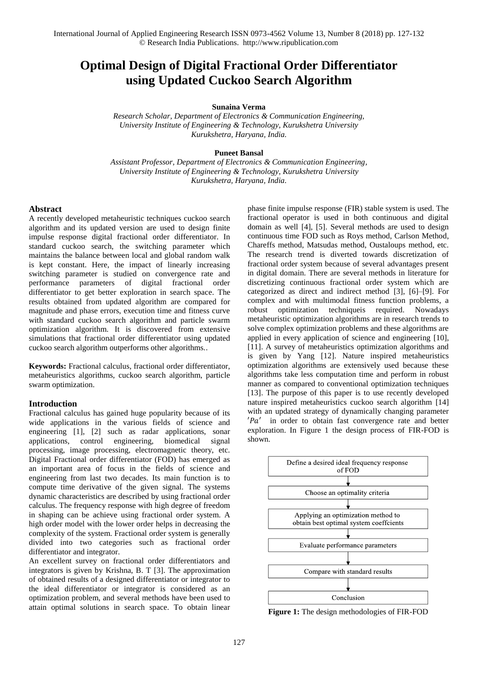# **Optimal Design of Digital Fractional Order Differentiator using Updated Cuckoo Search Algorithm**

**Sunaina Verma**

*Research Scholar, Department of Electronics & Communication Engineering, University Institute of Engineering & Technology, Kurukshetra University Kurukshetra, Haryana, India.*

# **Puneet Bansal**

*Assistant Professor, Department of Electronics & Communication Engineering, University Institute of Engineering & Technology, Kurukshetra University Kurukshetra, Haryana, India.*

# **Abstract**

A recently developed metaheuristic techniques cuckoo search algorithm and its updated version are used to design finite impulse response digital fractional order differentiator. In standard cuckoo search, the switching parameter which maintains the balance between local and global random walk is kept constant. Here, the impact of linearly increasing switching parameter is studied on convergence rate and performance parameters of digital fractional order differentiator to get better exploration in search space. The results obtained from updated algorithm are compared for magnitude and phase errors, execution time and fitness curve with standard cuckoo search algorithm and particle swarm optimization algorithm. It is discovered from extensive simulations that fractional order differentiator using updated cuckoo search algorithm outperforms other algorithms..

**Keywords:** Fractional calculus, fractional order differentiator, metaheuristics algorithms, cuckoo search algorithm, particle swarm optimization.

### **Introduction**

Fractional calculus has gained huge popularity because of its wide applications in the various fields of science and engineering [1], [2] such as radar applications, sonar applications, control engineering, biomedical signal processing, image processing, electromagnetic theory, etc. Digital Fractional order differentiator (FOD) has emerged as an important area of focus in the fields of science and engineering from last two decades. Its main function is to compute time derivative of the given signal. The systems dynamic characteristics are described by using fractional order calculus. The frequency response with high degree of freedom in shaping can be achieve using fractional order system. A high order model with the lower order helps in decreasing the complexity of the system. Fractional order system is generally divided into two categories such as fractional order differentiator and integrator.

An excellent survey on fractional order differentiators and integrators is given by Krishna, B. T [3]. The approximation of obtained results of a designed differentiator or integrator to the ideal differentiator or integrator is considered as an optimization problem, and several methods have been used to attain optimal solutions in search space. To obtain linear phase finite impulse response (FIR) stable system is used. The fractional operator is used in both continuous and digital domain as well [4], [5]. Several methods are used to design continuous time FOD such as Roys method, Carlson Method, Chareffs method, Matsudas method, Oustaloups method, etc. The research trend is diverted towards discretization of fractional order system because of several advantages present in digital domain. There are several methods in literature for discretizing continuous fractional order system which are categorized as direct and indirect method [3], [6]–[9]. For complex and with multimodal fitness function problems, a robust optimization techniqueis required. Nowadays metaheuristic optimization algorithms are in research trends to solve complex optimization problems and these algorithms are applied in every application of science and engineering [10], [11]. A survey of metaheuristics optimization algorithms and is given by Yang [12]. Nature inspired metaheuristics optimization algorithms are extensively used because these algorithms take less computation time and perform in robust manner as compared to conventional optimization techniques [13]. The purpose of this paper is to use recently developed nature inspired metaheuristics cuckoo search algorithm [14] with an updated strategy of dynamically changing parameter  $'Pa'$  in order to obtain fast convergence rate and better exploration. In Figure 1 the design process of FIR-FOD is shown.



**Figure 1:** The design methodologies of FIR-FOD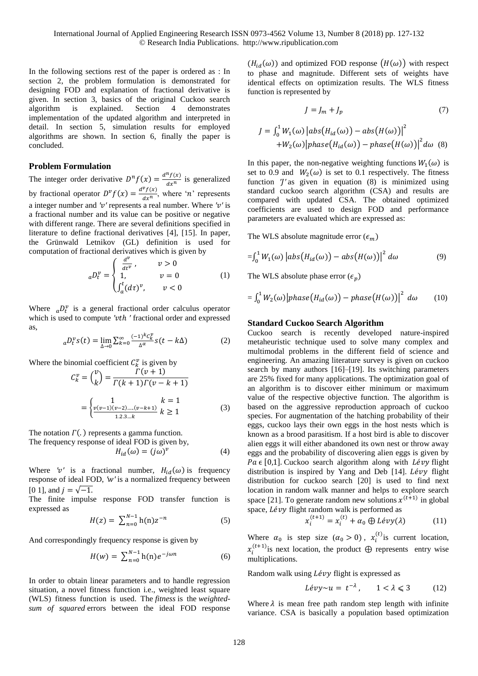In the following sections rest of the paper is ordered as : In section 2, the problem formulation is demonstrated for designing FOD and explanation of fractional derivative is given. In section 3, basics of the original Cuckoo search algorithm is explained. Section 4 demonstrates implementation of the updated algorithm and interpreted in detail. In section 5, simulation results for employed algorithms are shown. In section 6, finally the paper is concluded.

# **Problem Formulation**

The integer order derivative  $D^n f(x) = \frac{d^n f(x)}{dx^n}$  $\frac{f(x)}{dx^n}$  is generalized by fractional operator  $D^{\nu} f(x) = \frac{d^{\nu} f(x)}{dx^n}$  $\frac{f(x)}{dx^n}$ , where '*n*' represents a integer number and *′′* represents a real number. Where *′′* is a fractional number and its value can be positive or negative with different range. There are several definitions specified in literature to define fractional derivatives [4], [15]. In paper, the Grünwald Letnikov (GL) definition is used for computation of fractional derivatives which is given by

$$
{}_{a}D_{t}^{\nu} = \begin{cases} \frac{d^{\nu}}{dt^{\nu}}, & \nu > 0\\ 1, & \nu = 0\\ \int_{a}^{t} (d\tau)^{\nu}, & \nu < 0 \end{cases}
$$
 (1)

Where  ${_a}D_t^v$  is a general fractional order calculus operator which is used to compute 'vth ' fractional order and expressed as,

$$
{}_{a}D_{t}^{\nu}s(t) = \lim_{\Delta \to 0} \sum_{k=0}^{\infty} \frac{(-1)^{k} c_{k}^{\nu}}{\Delta^{\alpha}} s(t - k\Delta)
$$
 (2)

Where the binomial coefficient  $C_k^v$  is given by

$$
C_k^{\nu} = \binom{\nu}{k} = \frac{\Gamma(\nu+1)}{\Gamma(k+1)\Gamma(\nu-k+1)}
$$

$$
= \begin{cases} 1 & k = 1\\ \frac{\nu(\nu-1)(\nu-2)\dots(\nu-k+1)}{1.2.3\dots k} & k \ge 1 \end{cases}
$$
(3)

The notation  $\Gamma($ . ) represents a gamma function. The frequency response of ideal FOD is given by,

$$
H_{id}(\omega) = (j\omega)^v
$$
 (4)

Where '*v'* is a fractional number,  $H_{id}(\omega)$  is frequency response of ideal FOD, *′′* is a normalized frequency between [0 1], and  $i = \sqrt{-1}$ .

The finite impulse response FOD transfer function is expressed as

$$
H(z) = \sum_{n=0}^{N-1} h(n) z^{-n}
$$
 (5)

And correspondingly frequency response is given by

$$
H(w) = \sum_{n=0}^{N-1} h(n)e^{-j\omega n}
$$
 (6)

In order to obtain linear parameters and to handle regression situation, a novel fitness function i.e., weighted least square (WLS) fitness function is used. The *fitness* is the *weightedsum of squared* errors between the ideal FOD response

 $(H_{id}(\omega))$  and optimized FOD response  $(H(\omega))$  with respect to phase and magnitude. Different sets of weights have identical effects on optimization results. The WLS fitness function is represented by

$$
J = J_m + J_p \tag{7}
$$

$$
J = \int_0^1 W_1(\omega) \left| abs(H_{id}(\omega)) - abs(H(\omega)) \right|^2
$$
  
+
$$
W_2(\omega) \left| phase(H_{id}(\omega)) - phase(H(\omega)) \right|^2 d\omega
$$
 (8)

In this paper, the non-negative weighting functions  $W_1(\omega)$  is set to 0.9 and  $W_2(\omega)$  is set to 0.1 respectively. The fitness function *'l'* as given in equation (8) is minimized using standard cuckoo search algorithm (CSA) and results are compared with updated CSA. The obtained optimized coefficients are used to design FOD and performance parameters are evaluated which are expressed as:

The WLS absolute magnitude error  $(\epsilon_m)$ 

$$
= \int_0^1 W_1(\omega) \left| abs\big(H_{id}(\omega)\big) - abs\big(H(\omega)\big)\right|^2 d\omega \tag{9}
$$

The WLS absolute phase error  $(\epsilon_n)$ 

$$
= \int_0^1 W_2(\omega) \big| phase\big(H_{id}(\omega)\big) - phase\big(H(\omega)\big)\big|^2 \ d\omega \qquad (10)
$$

#### **Standard Cuckoo Search Algorithm**

Cuckoo search is recently developed nature-inspired metaheuristic technique used to solve many complex and multimodal problems in the different field of science and engineering. An amazing literature survey is given on cuckoo search by many authors [16]–[19]. Its switching parameters are 25% fixed for many applications. The optimization goal of an algorithm is to discover either minimum or maximum value of the respective objective function. The algorithm is based on the aggressive reproduction approach of cuckoo species. For augmentation of the hatching probability of their eggs, cuckoo lays their own eggs in the host nests which is known as a brood parasitism. If a host bird is able to discover alien eggs it will either abandoned its own nest or throw away eggs and the probability of discovering alien eggs is given by  $Pa \in [0,1]$ . Cuckoo search algorithm along with *Lévy* flight distribution is inspired by Yang and Deb  $[14]$ . *Lévy* flight distribution for cuckoo search [20] is used to find next location in random walk manner and helps to explore search space [21]. To generate random new solutions  $x^{(t+1)}$  in global space, *Lévy* flight random walk is performed as

$$
x_i^{(t+1)} = x_i^{(t)} + \alpha_0 \oplus L\acute{e}vy(\lambda)
$$
 (11)

Where  $\alpha_0$  is step size  $(\alpha_0 > 0)$ ,  $x_i^{(t)}$  is current location,  $x_i^{(t+1)}$  is next location, the product  $\bigoplus$  represents entry wise multiplications.

Random walk using  $Lévy$  flight is expressed as

$$
Lévy \sim u = t^{-\lambda}, \qquad 1 < \lambda \leq 3 \tag{12}
$$

Where  $\lambda$  is mean free path random step length with infinite variance. CSA is basically a population based optimization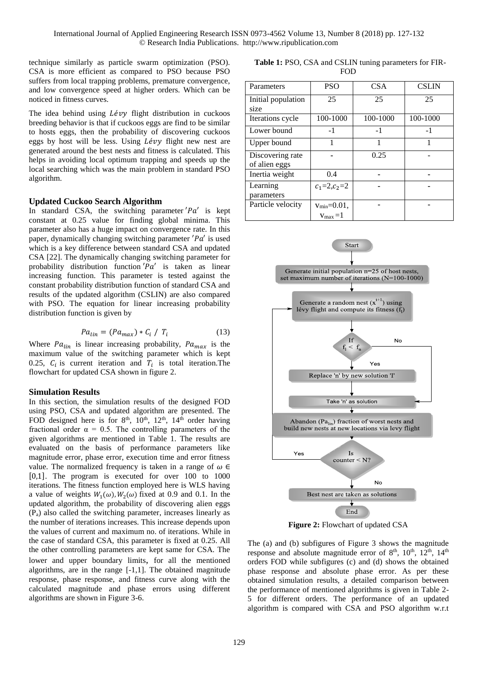technique similarly as particle swarm optimization (PSO). CSA is more efficient as compared to PSO because PSO suffers from local trapping problems, premature convergence, and low convergence speed at higher orders. Which can be noticed in fitness curves.

The idea behind using *Lévy* flight distribution in cuckoos breeding behavior is that if cuckoos eggs are find to be similar to hosts eggs, then the probability of discovering cuckoos eggs by host will be less. Using  $Lévy$  flight new nest are generated around the best nests and fitness is calculated. This helps in avoiding local optimum trapping and speeds up the local searching which was the main problem in standard PSO algorithm.

# **Updated Cuckoo Search Algorithm**

In standard CSA, the switching parameter  $Pa'$  is kept constant at 0.25 value for finding global minima. This parameter also has a huge impact on convergence rate. In this paper, dynamically changing switching parameter  $P\alpha'$  is used which is a key difference between standard CSA and updated CSA [22]. The dynamically changing switching parameter for probability distribution function  $Pa'$  is taken as linear increasing function. This parameter is tested against the constant probability distribution function of standard CSA and results of the updated algorithm (CSLIN) are also compared with PSO. The equation for linear increasing probability distribution function is given by

$$
Pa_{lin} = (Pa_{max}) * C_i / T_i \tag{13}
$$

Where  $Pa_{lin}$  is linear increasing probability,  $Pa_{max}$  is the maximum value of the switching parameter which is kept 0.25,  $C_i$  is current iteration and  $T_i$  is total iteration. The flowchart for updated CSA shown in figure 2.

# **Simulation Results**

In this section, the simulation results of the designed FOD using PSO, CSA and updated algorithm are presented. The FOD designed here is for  $8<sup>th</sup>$ ,  $10<sup>th</sup>$ ,  $12<sup>th</sup>$ ,  $14<sup>th</sup>$  order having fractional order  $\alpha = 0.5$ . The controlling parameters of the given algorithms are mentioned in Table 1. The results are evaluated on the basis of performance parameters like magnitude error, phase error, execution time and error fitness value. The normalized frequency is taken in a range of  $\omega \in$ [0,1]. The program is executed for over 100 to 1000 iterations. The fitness function employed here is WLS having a value of weights  $W_1(\omega)$ ,  $W_2(\omega)$  fixed at 0.9 and 0.1. In the updated algorithm, the probability of discovering alien eggs (Pa) also called the switching parameter, increases linearly as the number of iterations increases. This increase depends upon the values of current and maximum no. of iterations. While in the case of standard CSA, this parameter is fixed at 0.25. All the other controlling parameters are kept same for CSA. The lower and upper boundary limits, for all the mentioned algorithms, are in the range [-1,1]. The obtained magnitude response, phase response, and fitness curve along with the calculated magnitude and phase errors using different algorithms are shown in Figure 3-6.

 **Table 1:** PSO, CSA and CSLIN tuning parameters for FIR-FOD

| Parameters                        | <b>PSO</b>                                 | <b>CSA</b> | <b>CSLIN</b> |
|-----------------------------------|--------------------------------------------|------------|--------------|
| Initial population<br>size        | 25                                         | 25         | 25           |
| Iterations cycle                  | 100-1000                                   | 100-1000   | 100-1000     |
| Lower bound                       | $-1$                                       | $-1$       | $-1$         |
| Upper bound                       |                                            |            |              |
| Discovering rate<br>of alien eggs |                                            | 0.25       |              |
| Inertia weight                    | 0.4                                        |            |              |
| Learning<br>parameters            | $c_1 = 2, c_2 = 2$                         |            |              |
| Particle velocity                 | $v_{min} = 0.01$ ,<br>$v_{\text{max}} = 1$ |            |              |



**Figure 2: Flowchart of updated CSA** 

The (a) and (b) subfigures of Figure 3 shows the magnitude response and absolute magnitude error of 8<sup>th</sup>, 10<sup>th</sup>, 12<sup>th</sup>, 14<sup>th</sup> orders FOD while subfigures (c) and (d) shows the obtained phase response and absolute phase error. As per these obtained simulation results, a detailed comparison between the performance of mentioned algorithms is given in Table 2- 5 for different orders. The performance of an updated algorithm is compared with CSA and PSO algorithm w.r.t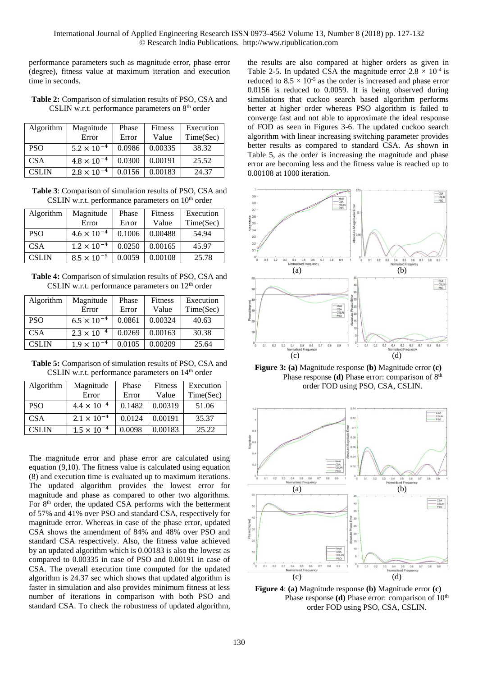performance parameters such as magnitude error, phase error (degree), fitness value at maximum iteration and execution time in seconds.

**Table 2:** Comparison of simulation results of PSO, CSA and CSLIN w.r.t. performance parameters on  $8<sup>th</sup>$  order

| Algorithm    | Magnitude            | Phase  | <b>Fitness</b> | Execution |
|--------------|----------------------|--------|----------------|-----------|
|              | Error                | Error  | Value          | Time(Sec) |
| <b>PSO</b>   | $5.2 \times 10^{-4}$ | 0.0986 | 0.00335        | 38.32     |
| <b>CSA</b>   | $4.8 \times 10^{-4}$ | 0.0300 | 0.00191        | 25.52     |
| <b>CSLIN</b> | $2.8 \times 10^{-4}$ | 0.0156 | 0.00183        | 24.37     |

**Table 3**: Comparison of simulation results of PSO, CSA and CSLIN w.r.t. performance parameters on  $10<sup>th</sup>$  order

| Algorithm    | Magnitude            | Phase  | <b>Fitness</b> | Execution |
|--------------|----------------------|--------|----------------|-----------|
|              | Error                | Error  | Value          | Time(Sec) |
| <b>PSO</b>   | $4.6 \times 10^{-4}$ | 0.1006 | 0.00488        | 54.94     |
| <b>CSA</b>   | $1.2 \times 10^{-4}$ | 0.0250 | 0.00165        | 45.97     |
| <b>CSLIN</b> | $8.5 \times 10^{-5}$ | 0.0059 | 0.00108        | 25.78     |

**Table 4:** Comparison of simulation results of PSO, CSA and CSLIN w.r.t. performance parameters on  $12<sup>th</sup>$  order

| Algorithm    | Magnitude            | Phase  | <b>Fitness</b> | Execution |
|--------------|----------------------|--------|----------------|-----------|
|              | Error                | Error  | Value          | Time(Sec) |
| <b>PSO</b>   | $6.5 \times 10^{-4}$ | 0.0861 | 0.00324        | 40.63     |
| <b>CSA</b>   | $2.3 \times 10^{-4}$ | 0.0269 | 0.00163        | 30.38     |
| <b>CSLIN</b> | $1.9 \times 10^{-4}$ | 0.0105 | 0.00209        | 25.64     |

**Table 5:** Comparison of simulation results of PSO, CSA and CSLIN w.r.t. performance parameters on  $14<sup>th</sup>$  order

| Algorithm  | Magnitude            | Phase  | <b>Fitness</b> | Execution |
|------------|----------------------|--------|----------------|-----------|
|            | Error                | Error  | Value          | Time(Sec) |
| <b>PSO</b> | $4.4 \times 10^{-4}$ | 0.1482 | 0.00319        | 51.06     |
| <b>CSA</b> | $2.1 \times 10^{-4}$ | 0.0124 | 0.00191        | 35.37     |
| CSL IN     | $1.5 \times 10^{-4}$ | 0.0098 | 0.00183        | 25.22     |

The magnitude error and phase error are calculated using equation (9,10). The fitness value is calculated using equation (8) and execution time is evaluated up to maximum iterations. The updated algorithm provides the lowest error for magnitude and phase as compared to other two algorithms. For 8<sup>th</sup> order, the updated CSA performs with the betterment of 57% and 41% over PSO and standard CSA, respectively for magnitude error. Whereas in case of the phase error, updated CSA shows the amendment of 84% and 48% over PSO and standard CSA respectively. Also, the fitness value achieved by an updated algorithm which is 0.00183 is also the lowest as compared to 0.00335 in case of PSO and 0.00191 in case of CSA. The overall execution time computed for the updated algorithm is 24.37 sec which shows that updated algorithm is faster in simulation and also provides minimum fitness at less number of iterations in comparison with both PSO and standard CSA. To check the robustness of updated algorithm,

the results are also compared at higher orders as given in Table 2-5. In updated CSA the magnitude error  $2.8 \times 10^{-4}$  is reduced to  $8.5 \times 10^{-5}$  as the order is increased and phase error 0.0156 is reduced to 0.0059. It is being observed during simulations that cuckoo search based algorithm performs better at higher order whereas PSO algorithm is failed to converge fast and not able to approximate the ideal response of FOD as seen in Figures 3-6. The updated cuckoo search algorithm with linear increasing switching parameter provides better results as compared to standard CSA. As shown in Table 5, as the order is increasing the magnitude and phase error are becoming less and the fitness value is reached up to 0.00108 at 1000 iteration.



**Figure 3: (a)** Magnitude response **(b)** Magnitude error **(c)** Phase response **(d)** Phase error: comparison of 8<sup>th</sup> order FOD using PSO, CSA, CSLIN.



**Figure 4**: **(a)** Magnitude response **(b)** Magnitude error **(c)** Phase response (d) Phase error: comparison of 10<sup>th</sup> order FOD using PSO, CSA, CSLIN.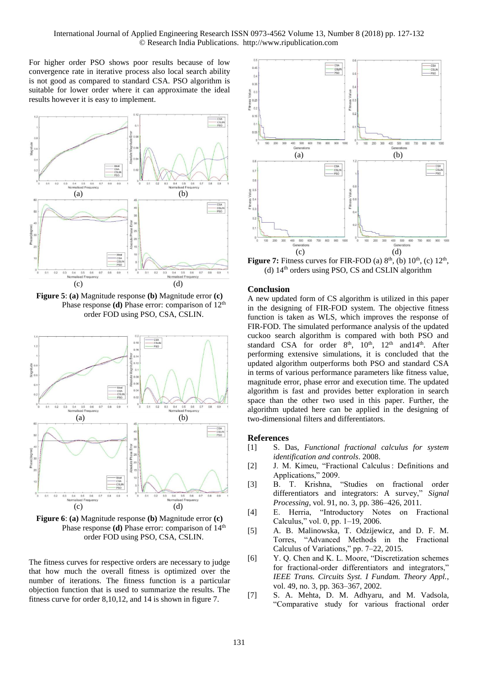For higher order PSO shows poor results because of low convergence rate in iterative process also local search ability is not good as compared to standard CSA. PSO algorithm is suitable for lower order where it can approximate the ideal results however it is easy to implement.



**Figure 5**: **(a)** Magnitude response **(b)** Magnitude error **(c)** Phase response (d) Phase error: comparison of 12<sup>th</sup> order FOD using PSO, CSA, CSLIN.



**Figure 6**: **(a)** Magnitude response **(b)** Magnitude error **(c)** Phase response **(d)** Phase error: comparison of 14<sup>th</sup> order FOD using PSO, CSA, CSLIN.

The fitness curves for respective orders are necessary to judge that how much the overall fitness is optimized over the number of iterations. The fitness function is a particular objection function that is used to summarize the results. The fitness curve for order 8,10,12, and 14 is shown in figure 7.



**Figure 7:** Fitness curves for FIR-FOD (a)  $8<sup>th</sup>$ , (b)  $10<sup>th</sup>$ , (c)  $12<sup>th</sup>$ , (d)  $14<sup>th</sup>$  orders using PSO, CS and CSLIN algorithm

# **Conclusion**

A new updated form of CS algorithm is utilized in this paper in the designing of FIR-FOD system. The objective fitness function is taken as WLS, which improves the response of FIR-FOD. The simulated performance analysis of the updated cuckoo search algorithm is compared with both PSO and standard CSA for order 8<sup>th</sup>, 10<sup>th</sup>, 12<sup>th</sup> and 14<sup>th</sup>. After performing extensive simulations, it is concluded that the updated algorithm outperforms both PSO and standard CSA in terms of various performance parameters like fitness value, magnitude error, phase error and execution time. The updated algorithm is fast and provides better exploration in search space than the other two used in this paper. Further, the algorithm updated here can be applied in the designing of two-dimensional filters and differentiators.

# **References**

- [1] S. Das, *Functional fractional calculus for system identification and controls*. 2008.
- [2] J. M. Kimeu, "Fractional Calculus : Definitions and Applications," 2009.
- [3] B. T. Krishna, "Studies on fractional order differentiators and integrators: A survey," *Signal Processing*, vol. 91, no. 3, pp. 386–426, 2011.
- [4] E. Herria, "Introductory Notes on Fractional Calculus," vol. 0, pp. 1–19, 2006.
- [5] A. B. Malinowska, T. Odzijewicz, and D. F. M. Torres, "Advanced Methods in the Fractional Calculus of Variations," pp. 7–22, 2015.
- [6] Y. Q. Chen and K. L. Moore, "Discretization schemes for fractional-order differentiators and integrators," *IEEE Trans. Circuits Syst. I Fundam. Theory Appl.*, vol. 49, no. 3, pp. 363–367, 2002.
- [7] S. A. Mehta, D. M. Adhyaru, and M. Vadsola, "Comparative study for various fractional order